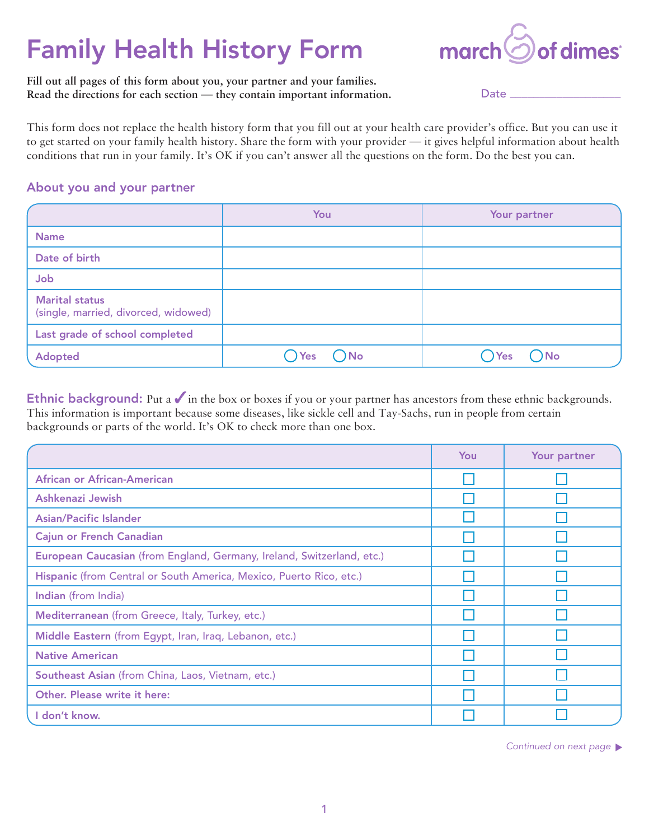# Family Health History Form



**Fill out all pages of this form about you, your partner and your families. Read the directions for each section — they contain important information.**

Date

This form does not replace the health history form that you fill out at your health care provider's office. But you can use it to get started on your family health history. Share the form with your provider — it gives helpful information about health conditions that run in your family. It's OK if you can't answer all the questions on the form. Do the best you can.

### About you and your partner

|                                                               | You                        | Your partner        |
|---------------------------------------------------------------|----------------------------|---------------------|
| <b>Name</b>                                                   |                            |                     |
| Date of birth                                                 |                            |                     |
| Job                                                           |                            |                     |
| <b>Marital status</b><br>(single, married, divorced, widowed) |                            |                     |
| Last grade of school completed                                |                            |                     |
| <b>Adopted</b>                                                | $\bigcap$ No<br><b>Yes</b> | $\bigcap$ No<br>Yes |

Ethnic background: Put a  $\checkmark$  in the box or boxes if you or your partner has ancestors from these ethnic backgrounds. This information is important because some diseases, like sickle cell and Tay-Sachs, run in people from certain backgrounds or parts of the world. It's OK to check more than one box.

|                                                                        | You | Your partner |
|------------------------------------------------------------------------|-----|--------------|
| African or African-American                                            |     |              |
| Ashkenazi Jewish                                                       |     |              |
| <b>Asian/Pacific Islander</b>                                          |     |              |
| <b>Cajun or French Canadian</b>                                        |     |              |
| European Caucasian (from England, Germany, Ireland, Switzerland, etc.) |     |              |
| Hispanic (from Central or South America, Mexico, Puerto Rico, etc.)    |     |              |
| Indian (from India)                                                    |     |              |
| Mediterranean (from Greece, Italy, Turkey, etc.)                       |     |              |
| Middle Eastern (from Egypt, Iran, Iraq, Lebanon, etc.)                 |     |              |
| <b>Native American</b>                                                 |     |              |
| Southeast Asian (from China, Laos, Vietnam, etc.)                      |     |              |
| Other. Please write it here:                                           |     |              |
| I don't know.                                                          |     |              |

Continued on next page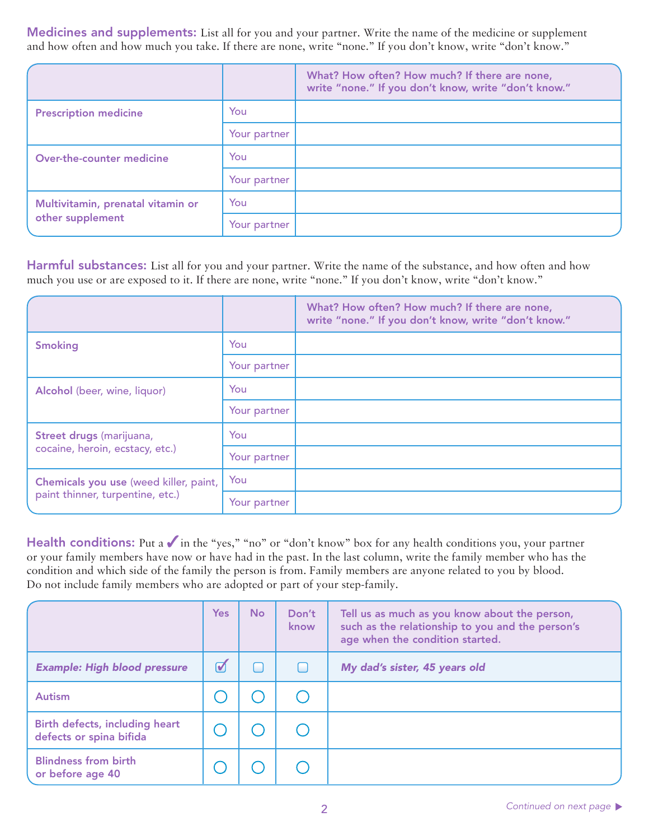Medicines and supplements: List all for you and your partner. Write the name of the medicine or supplement and how often and how much you take. If there are none, write "none." If you don't know, write "don't know."

|                                   |              | What? How often? How much? If there are none,<br>write "none." If you don't know, write "don't know." |
|-----------------------------------|--------------|-------------------------------------------------------------------------------------------------------|
| <b>Prescription medicine</b>      | You          |                                                                                                       |
|                                   | Your partner |                                                                                                       |
| Over-the-counter medicine         | You          |                                                                                                       |
|                                   | Your partner |                                                                                                       |
| Multivitamin, prenatal vitamin or | You          |                                                                                                       |
| other supplement                  | Your partner |                                                                                                       |

Harmful substances: List all for you and your partner. Write the name of the substance, and how often and how much you use or are exposed to it. If there are none, write "none." If you don't know, write "don't know."

|                                                             |              | What? How often? How much? If there are none,<br>write "none." If you don't know, write "don't know." |
|-------------------------------------------------------------|--------------|-------------------------------------------------------------------------------------------------------|
| <b>Smoking</b>                                              | You          |                                                                                                       |
|                                                             | Your partner |                                                                                                       |
| Alcohol (beer, wine, liquor)                                | You          |                                                                                                       |
|                                                             | Your partner |                                                                                                       |
| Street drugs (marijuana,<br>cocaine, heroin, ecstacy, etc.) | You          |                                                                                                       |
|                                                             | Your partner |                                                                                                       |
| Chemicals you use (weed killer, paint,                      | You          |                                                                                                       |
| paint thinner, turpentine, etc.)                            | Your partner |                                                                                                       |

Health conditions: Put a  $\checkmark$  in the "yes," "no" or "don't know" box for any health conditions you, your partner or your family members have now or have had in the past. In the last column, write the family member who has the condition and which side of the family the person is from. Family members are anyone related to you by blood. Do not include family members who are adopted or part of your step-family.

|                                                           | <b>Yes</b>           | <b>No</b> | Don't<br>know | Tell us as much as you know about the person,<br>such as the relationship to you and the person's<br>age when the condition started. |
|-----------------------------------------------------------|----------------------|-----------|---------------|--------------------------------------------------------------------------------------------------------------------------------------|
| <b>Example: High blood pressure</b>                       | $\blacktriangledown$ |           |               | My dad's sister, 45 years old                                                                                                        |
| <b>Autism</b>                                             |                      |           |               |                                                                                                                                      |
| Birth defects, including heart<br>defects or spina bifida |                      |           |               |                                                                                                                                      |
| <b>Blindness from birth</b><br>or before age 40           |                      |           |               |                                                                                                                                      |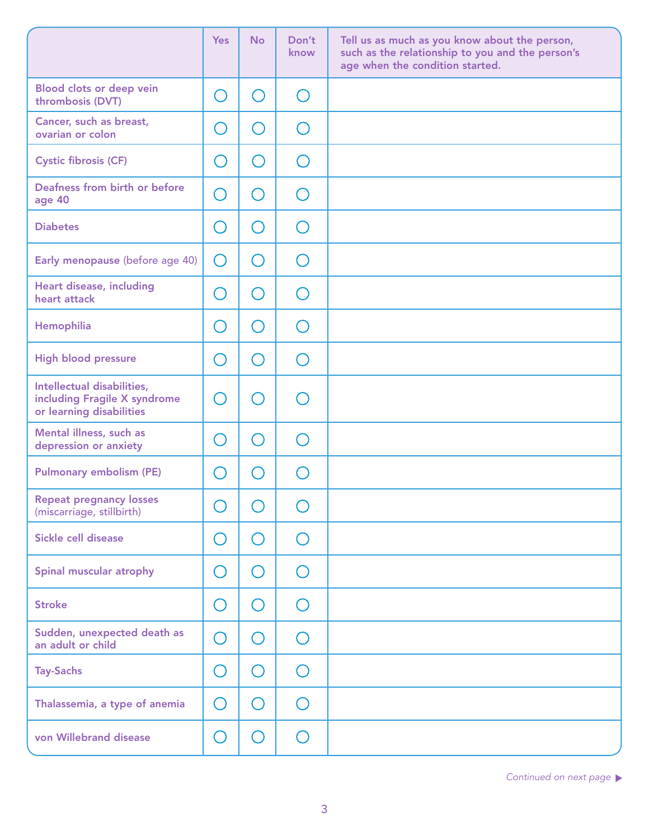|                                                                                        | <b>Yes</b>                                    | <b>No</b>                                     | Don't<br>know                                 | Tell us as much as you know about the person,<br>such as the relationship to you and the person's<br>age when the condition started. |
|----------------------------------------------------------------------------------------|-----------------------------------------------|-----------------------------------------------|-----------------------------------------------|--------------------------------------------------------------------------------------------------------------------------------------|
| Blood clots or deep vein<br>thrombosis (DVT)                                           | $\left(\begin{array}{c} 1 \end{array}\right)$ | ◯                                             | $\bigcirc$                                    |                                                                                                                                      |
| Cancer, such as breast,<br>ovarian or colon                                            | - 1                                           | $(\ )$                                        | $\left(\begin{array}{c} \end{array}\right)$   |                                                                                                                                      |
| <b>Cystic fibrosis (CF)</b>                                                            | O)                                            | $(\ )$                                        | $\left(\begin{array}{c} \end{array}\right)$   |                                                                                                                                      |
| Deafness from birth or before<br>age 40                                                | $\bigcap$                                     | $\bigcirc$                                    | ∩                                             |                                                                                                                                      |
| <b>Diabetes</b>                                                                        | $(\ )$                                        | ( )                                           | $\left( \begin{array}{c} \end{array} \right)$ |                                                                                                                                      |
| Early menopause (before age 40)                                                        | ◯                                             | $\bigcirc$                                    | $\bigcap$                                     |                                                                                                                                      |
| Heart disease, including<br>heart attack                                               | $\Box$                                        | $\left( \begin{array}{c} \end{array} \right)$ | $\cap$                                        |                                                                                                                                      |
| Hemophilia                                                                             | $(\ )$                                        | $\bigcirc$                                    | ∩                                             |                                                                                                                                      |
| <b>High blood pressure</b>                                                             | $(\ )$                                        | $\left(\ \right)$                             | ∩                                             |                                                                                                                                      |
| Intellectual disabilities,<br>including Fragile X syndrome<br>or learning disabilities | $\Box$                                        | $\mathcal{L}$                                 |                                               |                                                                                                                                      |
| Mental illness, such as<br>depression or anxiety                                       | $\overline{\phantom{a}}$                      | $(\ )$                                        | ∩                                             |                                                                                                                                      |
| <b>Pulmonary embolism (PE)</b>                                                         | $\overline{\phantom{a}}$                      | $\left( \begin{array}{c} \end{array} \right)$ |                                               |                                                                                                                                      |
| <b>Repeat pregnancy losses</b><br>(miscarriage, stillbirth)                            | $\bigcirc$                                    | $\bigcirc$                                    | $\bigcap$                                     |                                                                                                                                      |
| Sickle cell disease                                                                    | $\bigcirc$                                    | O                                             | $\bigcirc$                                    |                                                                                                                                      |
| Spinal muscular atrophy                                                                | $\left(\ \right)$                             | ◯                                             | $\bigcirc$                                    |                                                                                                                                      |
| <b>Stroke</b>                                                                          | $(\ )$                                        | $\bigcirc$                                    | $\bigcap$                                     |                                                                                                                                      |
| Sudden, unexpected death as<br>an adult or child                                       | $\bigcirc$                                    | ◯                                             | $\bigcap$                                     |                                                                                                                                      |
| <b>Tay-Sachs</b>                                                                       | $\bigcirc$                                    | ∩                                             | $\bigcirc$                                    |                                                                                                                                      |
| Thalassemia, a type of anemia                                                          | O                                             | $(\ )$                                        | ◯                                             |                                                                                                                                      |
| von Willebrand disease                                                                 | $(\ )$                                        | ∩                                             | $\bigcirc$                                    |                                                                                                                                      |

**Continued on next page**